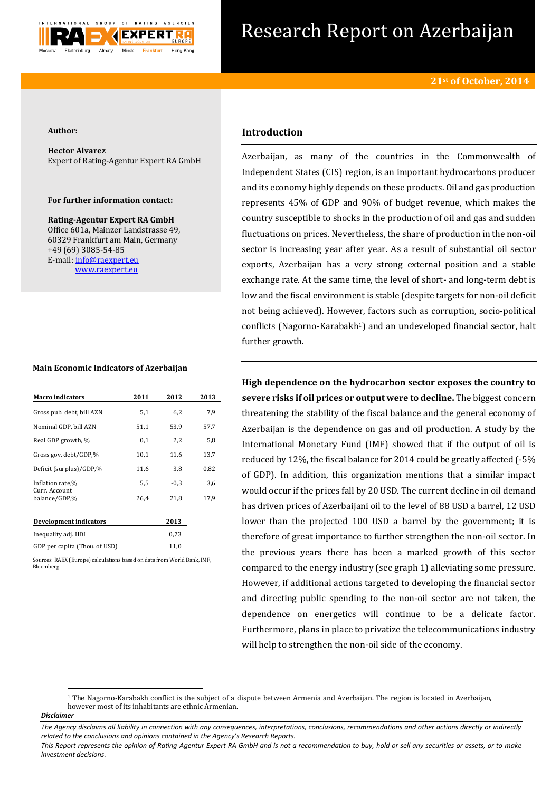

# Research Report on Azerbaijan

#### **Author:**

**Hector Alvarez** Expert of Rating-Agentur Expert RA GmbH

### **For further information contact:**

**Rating-Agentur Expert RA GmbH** Office 601a, Mainzer Landstrasse 49, 60329 Frankfurt am Main, Germany +49 (69) 3085-54-85 E-mail[: info@raexpert.eu](mailto:info@raexpert.eu) [www.raexpert.eu](http://raexpert.eu/)

#### **Main Economic Indicators of Azerbaijan**

| <b>Macro</b> indicators        | 2011 | 2012   | 2013 |
|--------------------------------|------|--------|------|
| Gross pub. debt, bill AZN      | 5,1  | 6,2    | 7,9  |
| Nominal GDP, bill AZN          | 51,1 | 53,9   | 57,7 |
| Real GDP growth, %             | 0,1  | 2,2    | 5,8  |
| Gross gov. debt/GDP,%          | 10,1 | 11,6   | 13,7 |
| Deficit (surplus)/GDP,%        | 11,6 | 3,8    | 0,82 |
| Inflation rate,%               | 5,5  | $-0,3$ | 3,6  |
| Curr. Account<br>balance/GDP.% | 26.4 | 21,8   | 17,9 |
| Development indicators         |      | 2013   |      |
| Inequality adj. HDI            |      | 0,73   |      |
| GDP per capita (Thou. of USD)  |      | 11,0   |      |

Sources: RAEX (Europe) calculations based on data from World Bank, IMF, Bloomberg

# **Introduction**

Azerbaijan, as many of the countries in the Commonwealth of Independent States (CIS) region, is an important hydrocarbons producer and its economy highly depends on these products. Oil and gas production represents 45% of GDP and 90% of budget revenue, which makes the country susceptible to shocks in the production of oil and gas and sudden fluctuations on prices. Nevertheless, the share of production in the non-oil sector is increasing year after year. As a result of substantial oil sector exports, Azerbaijan has a very strong external position and a stable exchange rate. At the same time, the level of short- and long-term debt is low and the fiscal environment is stable (despite targets for non-oil deficit not being achieved). However, factors such as corruption, socio-political conflicts (Nagorno-Karabakh<sup>1</sup>) and an undeveloped financial sector, halt further growth.

**High dependence on the hydrocarbon sector exposes the country to severe risks if oil prices or output were to decline.** The biggest concern threatening the stability of the fiscal balance and the general economy of Azerbaijan is the dependence on gas and oil production. A study by the International Monetary Fund (IMF) showed that if the output of oil is reduced by 12%, the fiscal balance for 2014 could be greatly affected (-5% of GDP). In addition, this organization mentions that a similar impact would occur if the prices fall by 20 USD. The current decline in oil demand has driven prices of Azerbaijani oil to the level of 88 USD a barrel, 12 USD lower than the projected 100 USD a barrel by the government; it is therefore of great importance to further strengthen the non-oil sector. In the previous years there has been a marked growth of this sector compared to the energy industry (see graph 1) alleviating some pressure. However, if additional actions targeted to developing the financial sector and directing public spending to the non-oil sector are not taken, the dependence on energetics will continue to be a delicate factor. Furthermore, plans in place to privatize the telecommunications industry will help to strengthen the non-oil side of the economy.

**.** 

<sup>1</sup> The Nagorno-Karabakh conflict is the subject of a dispute between Armenia and Azerbaijan. The region is located in Azerbaijan, however most of its inhabitants are ethnic Armenian.

*Disclaimer* 

*The Agency disclaims all liability in connection with any consequences, interpretations, conclusions, recommendations and other actions directly or indirectly related to the conclusions and opinions contained in the Agency's Research Reports.*

*This Report represents the opinion of Rating-Agentur Expert RA GmbH and is not a recommendation to buy, hold or sell any securities or assets, or to make investment decisions.*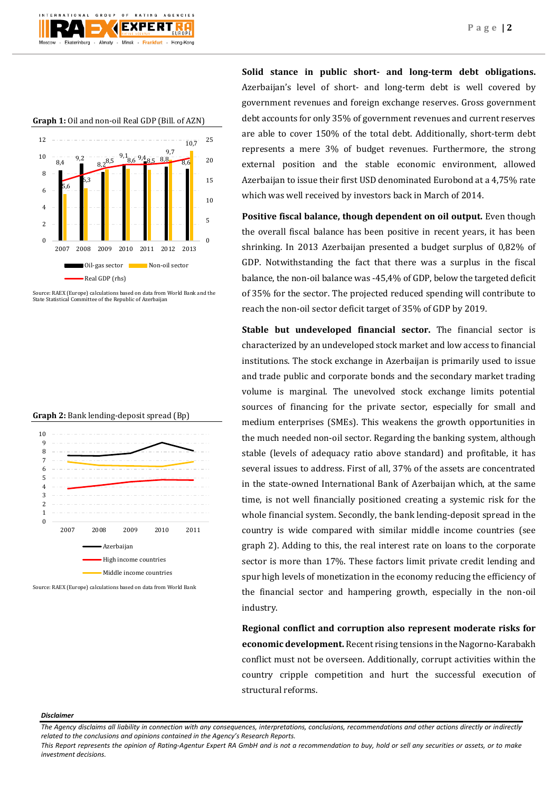

**Graph 1:** Oil and non-oil Real GDP (Bill. of AZN)



Source: RAEX (Europe) calculations based on data from World Bank and the State Statistical Committee of the Republic of Azerbaijan





**Solid stance in public short- and long-term debt obligations.**  Azerbaijan's level of short- and long-term debt is well covered by government revenues and foreign exchange reserves. Gross government debt accounts for only 35% of government revenues and current reserves are able to cover 150% of the total debt. Additionally, short-term debt represents a mere 3% of budget revenues. Furthermore, the strong external position and the stable economic environment, allowed Azerbaijan to issue their first USD denominated Eurobond at a 4,75% rate which was well received by investors back in March of 2014.

**Positive fiscal balance, though dependent on oil output.** Even though the overall fiscal balance has been positive in recent years, it has been shrinking. In 2013 Azerbaijan presented a budget surplus of 0,82% of GDP. Notwithstanding the fact that there was a surplus in the fiscal balance, the non-oil balance was -45,4% of GDP, below the targeted deficit of 35% for the sector. The projected reduced spending will contribute to reach the non-oil sector deficit target of 35% of GDP by 2019.

**Stable but undeveloped financial sector.** The financial sector is characterized by an undeveloped stock market and low access to financial institutions. The stock exchange in Azerbaijan is primarily used to issue and trade public and corporate bonds and the secondary market trading volume is marginal. The unevolved stock exchange limits potential sources of financing for the private sector, especially for small and medium enterprises (SMEs). This weakens the growth opportunities in the much needed non-oil sector. Regarding the banking system, although stable (levels of adequacy ratio above standard) and profitable, it has several issues to address. First of all, 37% of the assets are concentrated in the state-owned International Bank of Azerbaijan which, at the same time, is not well financially positioned creating a systemic risk for the whole financial system. Secondly, the bank lending-deposit spread in the country is wide compared with similar middle income countries (see graph 2). Adding to this, the real interest rate on loans to the corporate sector is more than 17%. These factors limit private credit lending and spur high levels of monetization in the economy reducing the efficiency of the financial sector and hampering growth, especially in the non-oil industry.

**Regional conflict and corruption also represent moderate risks for economic development.** Recent rising tensions in the Nagorno-Karabakh conflict must not be overseen. Additionally, corrupt activities within the country cripple competition and hurt the successful execution of structural reforms.

#### *Disclaimer*

*This Report represents the opinion of Rating-Agentur Expert RA GmbH and is not a recommendation to buy, hold or sell any securities or assets, or to make investment decisions.*

*The Agency disclaims all liability in connection with any consequences, interpretations, conclusions, recommendations and other actions directly or indirectly related to the conclusions and opinions contained in the Agency's Research Reports.*